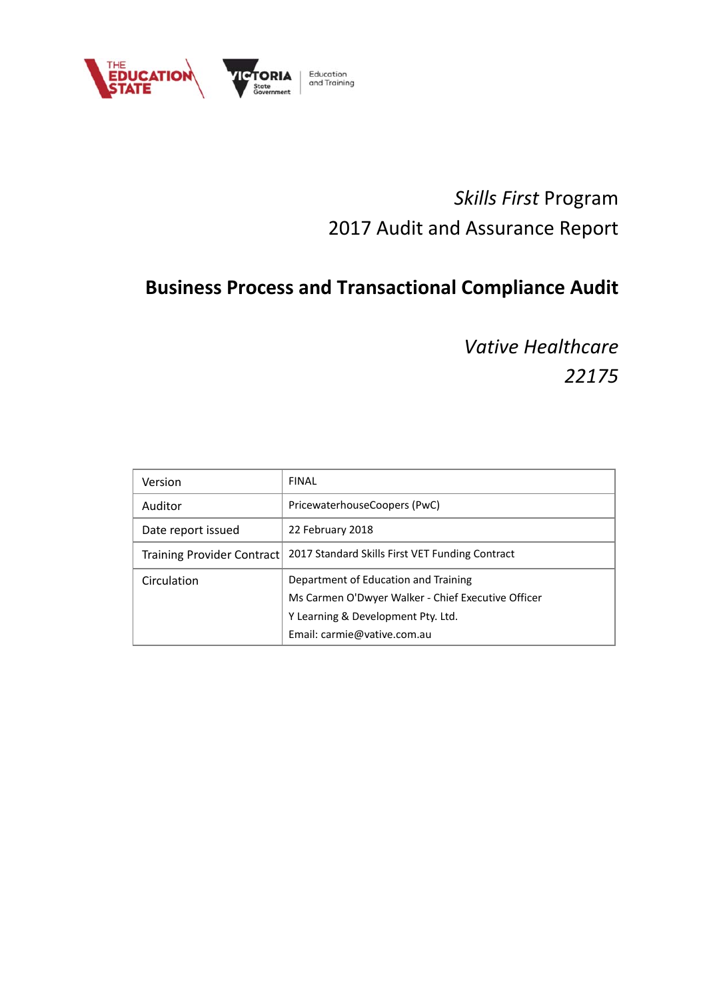

# *Skills First* Program 2017 Audit and Assurance Report

# **Business Process and Transactional Compliance Audit**

*Vative Healthcare 22175*

| Version                    | <b>FINAL</b>                                                                                                                                                    |
|----------------------------|-----------------------------------------------------------------------------------------------------------------------------------------------------------------|
| Auditor                    | PricewaterhouseCoopers (PwC)                                                                                                                                    |
| Date report issued         | 22 February 2018                                                                                                                                                |
| Training Provider Contract | 2017 Standard Skills First VET Funding Contract                                                                                                                 |
| Circulation                | Department of Education and Training<br>Ms Carmen O'Dwyer Walker - Chief Executive Officer<br>Y Learning & Development Pty. Ltd.<br>Email: carmie@vative.com.au |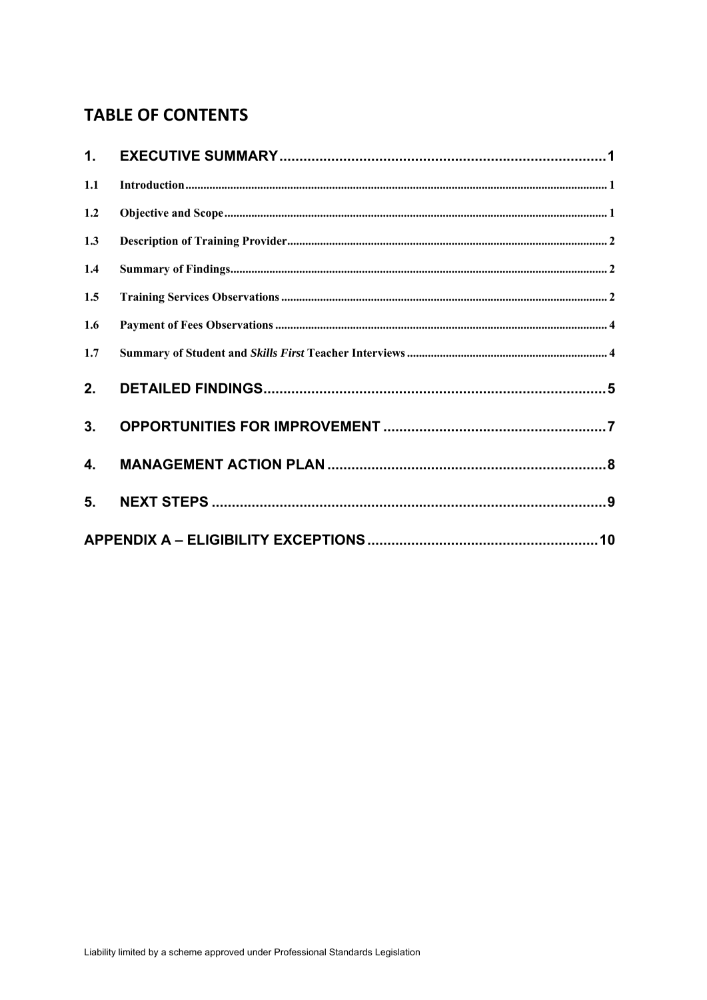## **TABLE OF CONTENTS**

| 1.  |  |
|-----|--|
| 1.1 |  |
| 1.2 |  |
| 1.3 |  |
| 1.4 |  |
| 1.5 |  |
| 1.6 |  |
| 1.7 |  |
| 2.  |  |
| 3.  |  |
| 4.  |  |
| 5.  |  |
|     |  |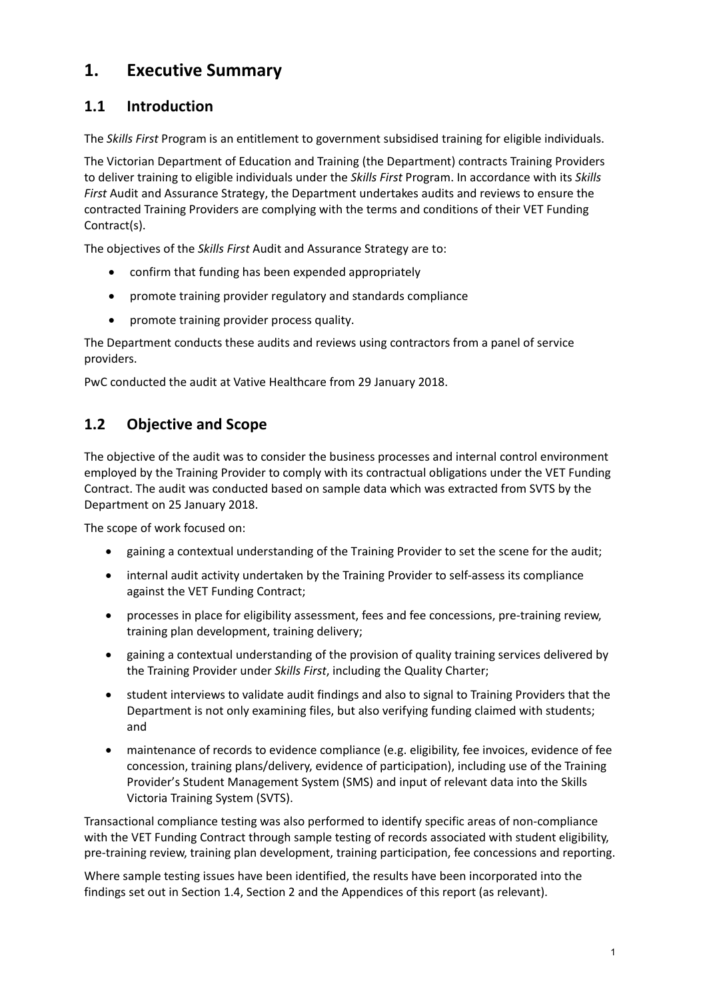## **1. Executive Summary**

### **1.1 Introduction**

The *Skills First* Program is an entitlement to government subsidised training for eligible individuals.

The Victorian Department of Education and Training (the Department) contracts Training Providers to deliver training to eligible individuals under the *Skills First* Program. In accordance with its *Skills First* Audit and Assurance Strategy, the Department undertakes audits and reviews to ensure the contracted Training Providers are complying with the terms and conditions of their VET Funding Contract(s).

The objectives of the *Skills First* Audit and Assurance Strategy are to:

- confirm that funding has been expended appropriately
- promote training provider regulatory and standards compliance
- promote training provider process quality.

The Department conducts these audits and reviews using contractors from a panel of service providers.

PwC conducted the audit at Vative Healthcare from 29 January 2018.

### **1.2 Objective and Scope**

The objective of the audit was to consider the business processes and internal control environment employed by the Training Provider to comply with its contractual obligations under the VET Funding Contract. The audit was conducted based on sample data which was extracted from SVTS by the Department on 25 January 2018.

The scope of work focused on:

- gaining a contextual understanding of the Training Provider to set the scene for the audit;
- internal audit activity undertaken by the Training Provider to self-assess its compliance against the VET Funding Contract;
- processes in place for eligibility assessment, fees and fee concessions, pre-training review, training plan development, training delivery;
- gaining a contextual understanding of the provision of quality training services delivered by the Training Provider under *Skills First*, including the Quality Charter;
- student interviews to validate audit findings and also to signal to Training Providers that the Department is not only examining files, but also verifying funding claimed with students; and
- maintenance of records to evidence compliance (e.g. eligibility, fee invoices, evidence of fee concession, training plans/delivery, evidence of participation), including use of the Training Provider's Student Management System (SMS) and input of relevant data into the Skills Victoria Training System (SVTS).

Transactional compliance testing was also performed to identify specific areas of non-compliance with the VET Funding Contract through sample testing of records associated with student eligibility, pre-training review, training plan development, training participation, fee concessions and reporting.

Where sample testing issues have been identified, the results have been incorporated into the findings set out in Section 1.4, Section 2 and the Appendices of this report (as relevant).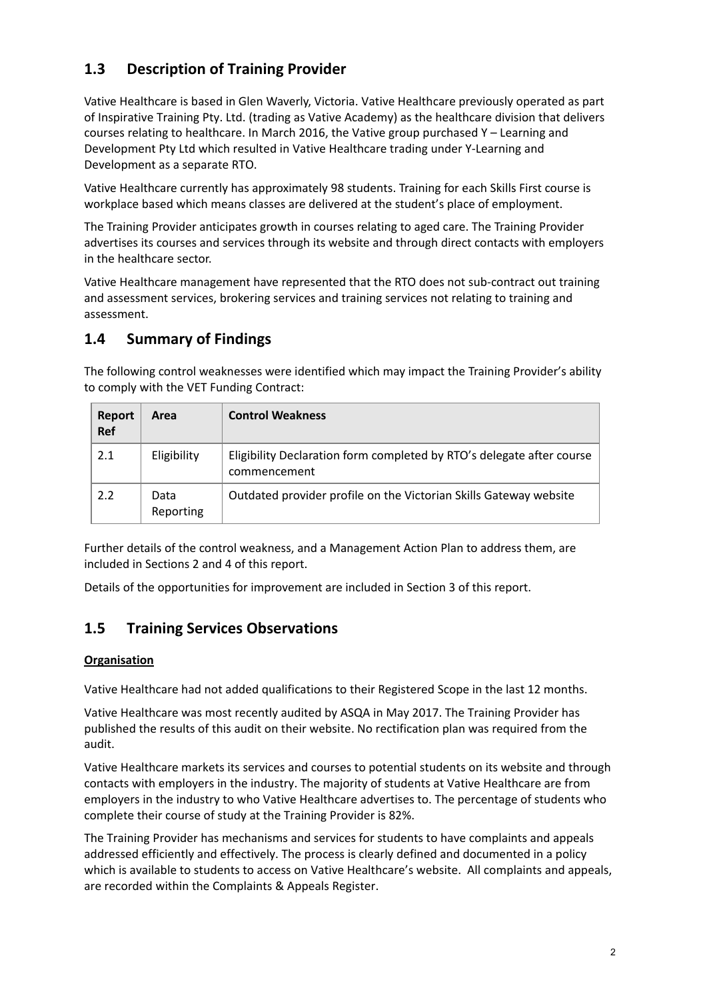### **1.3 Description of Training Provider**

Vative Healthcare is based in Glen Waverly, Victoria. Vative Healthcare previously operated as part of Inspirative Training Pty. Ltd. (trading as Vative Academy) as the healthcare division that delivers courses relating to healthcare. In March 2016, the Vative group purchased Y – Learning and Development Pty Ltd which resulted in Vative Healthcare trading under Y-Learning and Development as a separate RTO.

Vative Healthcare currently has approximately 98 students. Training for each Skills First course is workplace based which means classes are delivered at the student's place of employment.

The Training Provider anticipates growth in courses relating to aged care. The Training Provider advertises its courses and services through its website and through direct contacts with employers in the healthcare sector.

Vative Healthcare management have represented that the RTO does not sub-contract out training and assessment services, brokering services and training services not relating to training and assessment.

### **1.4 Summary of Findings**

The following control weaknesses were identified which may impact the Training Provider's ability to comply with the VET Funding Contract:

| Report<br>Ref | Area              | <b>Control Weakness</b>                                                               |
|---------------|-------------------|---------------------------------------------------------------------------------------|
| 2.1           | Eligibility       | Eligibility Declaration form completed by RTO's delegate after course<br>commencement |
| 2.2           | Data<br>Reporting | Outdated provider profile on the Victorian Skills Gateway website                     |

Further details of the control weakness, and a Management Action Plan to address them, are included in Sections 2 and 4 of this report.

Details of the opportunities for improvement are included in Section 3 of this report.

### **1.5 Training Services Observations**

#### **Organisation**

Vative Healthcare had not added qualifications to their Registered Scope in the last 12 months.

Vative Healthcare was most recently audited by ASQA in May 2017. The Training Provider has published the results of this audit on their website. No rectification plan was required from the audit.

Vative Healthcare markets its services and courses to potential students on its website and through contacts with employers in the industry. The majority of students at Vative Healthcare are from employers in the industry to who Vative Healthcare advertises to. The percentage of students who complete their course of study at the Training Provider is 82%.

The Training Provider has mechanisms and services for students to have complaints and appeals addressed efficiently and effectively. The process is clearly defined and documented in a policy which is available to students to access on Vative Healthcare's website. All complaints and appeals, are recorded within the Complaints & Appeals Register.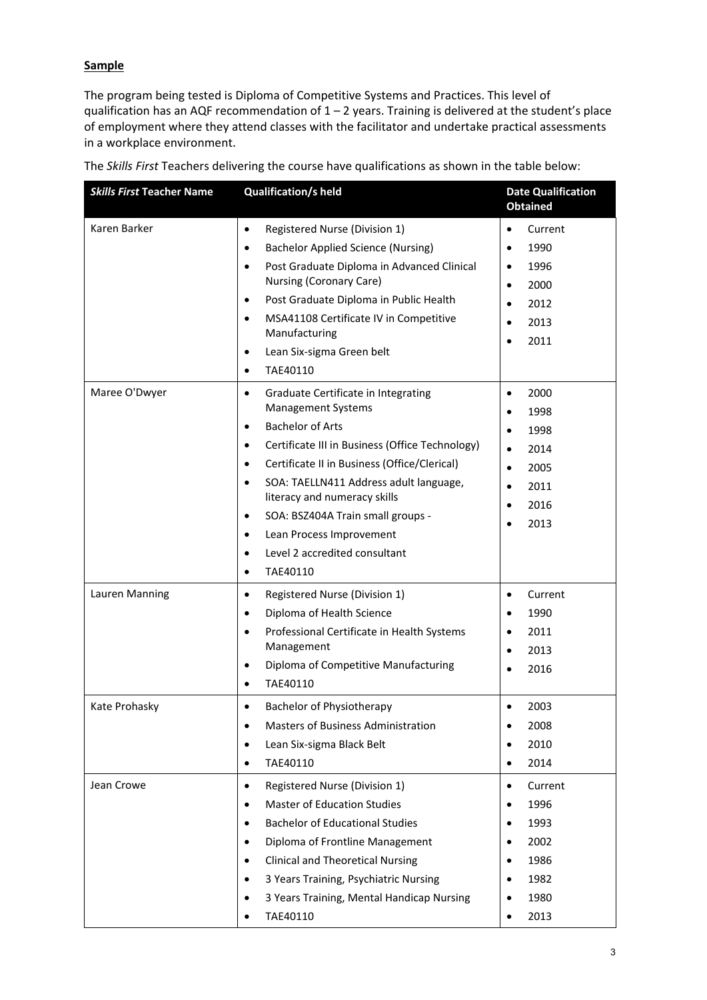### **Sample**

The program being tested is Diploma of Competitive Systems and Practices. This level of qualification has an AQF recommendation of 1 – 2 years. Training is delivered at the student's place of employment where they attend classes with the facilitator and undertake practical assessments in a workplace environment.

| <b>Skills First Teacher Name</b> | <b>Qualification/s held</b>                                                                                                                                                                                                                                                                                                                                                                                                                                                    | <b>Date Qualification</b><br><b>Obtained</b>                                                                     |
|----------------------------------|--------------------------------------------------------------------------------------------------------------------------------------------------------------------------------------------------------------------------------------------------------------------------------------------------------------------------------------------------------------------------------------------------------------------------------------------------------------------------------|------------------------------------------------------------------------------------------------------------------|
| Karen Barker                     | Registered Nurse (Division 1)<br>$\bullet$<br><b>Bachelor Applied Science (Nursing)</b><br>$\bullet$<br>Post Graduate Diploma in Advanced Clinical<br>$\bullet$<br>Nursing (Coronary Care)<br>Post Graduate Diploma in Public Health<br>٠<br>MSA41108 Certificate IV in Competitive<br>$\bullet$<br>Manufacturing<br>Lean Six-sigma Green belt<br>$\bullet$<br>TAE40110<br>$\bullet$                                                                                           | Current<br>$\bullet$<br>1990<br>1996<br>$\bullet$<br>2000<br>$\bullet$<br>2012<br>2013<br>2011                   |
| Maree O'Dwyer                    | Graduate Certificate in Integrating<br>$\bullet$<br><b>Management Systems</b><br><b>Bachelor of Arts</b><br>$\bullet$<br>Certificate III in Business (Office Technology)<br>$\bullet$<br>Certificate II in Business (Office/Clerical)<br>$\bullet$<br>SOA: TAELLN411 Address adult language,<br>$\bullet$<br>literacy and numeracy skills<br>SOA: BSZ404A Train small groups -<br>٠<br>Lean Process Improvement<br>$\bullet$<br>Level 2 accredited consultant<br>TAE40110<br>٠ | 2000<br>$\bullet$<br>1998<br>1998<br>2014<br>2005<br>$\bullet$<br>2011<br>$\bullet$<br>2016<br>$\bullet$<br>2013 |
| Lauren Manning                   | Registered Nurse (Division 1)<br>$\bullet$<br>Diploma of Health Science<br>$\bullet$<br>Professional Certificate in Health Systems<br>$\bullet$<br>Management<br>Diploma of Competitive Manufacturing<br>$\bullet$<br>TAE40110<br>$\bullet$                                                                                                                                                                                                                                    | Current<br>$\bullet$<br>1990<br>2011<br>2013<br>2016                                                             |
| Kate Prohasky                    | Bachelor of Physiotherapy<br>$\bullet$<br>Masters of Business Administration<br>$\bullet$<br>Lean Six-sigma Black Belt<br>$\bullet$<br>TAE40110<br>$\bullet$                                                                                                                                                                                                                                                                                                                   | 2003<br>$\bullet$<br>2008<br>2010<br>2014                                                                        |
| Jean Crowe                       | Registered Nurse (Division 1)<br>$\bullet$<br><b>Master of Education Studies</b><br>$\bullet$<br><b>Bachelor of Educational Studies</b><br>٠<br>Diploma of Frontline Management<br>$\bullet$<br><b>Clinical and Theoretical Nursing</b><br>$\bullet$<br>3 Years Training, Psychiatric Nursing<br>3 Years Training, Mental Handicap Nursing<br>TAE40110<br>٠                                                                                                                    | Current<br>$\bullet$<br>1996<br>1993<br>2002<br>1986<br>1982<br>1980<br>2013                                     |

The *Skills First* Teachers delivering the course have qualifications as shown in the table below: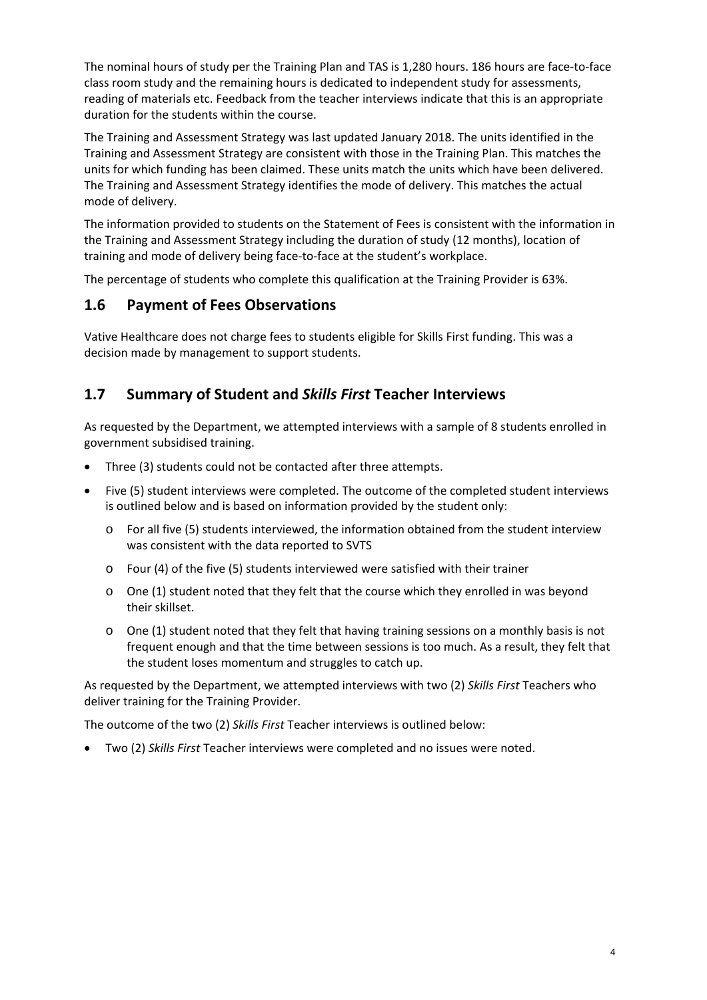The nominal hours of study per the Training Plan and TAS is 1,280 hours. 186 hours are face-to-face class room study and the remaining hours is dedicated to independent study for assessments, reading of materials etc. Feedback from the teacher interviews indicate that this is an appropriate duration for the students within the course.

The Training and Assessment Strategy was last updated January 2018. The units identified in the Training and Assessment Strategy are consistent with those in the Training Plan. This matches the units for which funding has been claimed. These units match the units which have been delivered. The Training and Assessment Strategy identifies the mode of delivery. This matches the actual mode of delivery.

The information provided to students on the Statement of Fees is consistent with the information in the Training and Assessment Strategy including the duration of study (12 months), location of training and mode of delivery being face-to-face at the student's workplace.

The percentage of students who complete this qualification at the Training Provider is 63%.

### **1.6 Payment of Fees Observations**

Vative Healthcare does not charge fees to students eligible for Skills First funding. This was a decision made by management to support students.

### **1.7 Summary of Student and** *Skills First* **Teacher Interviews**

As requested by the Department, we attempted interviews with a sample of 8 students enrolled in government subsidised training.

- Three (3) students could not be contacted after three attempts.
- Five (5) student interviews were completed. The outcome of the completed student interviews is outlined below and is based on information provided by the student only:
	- o For all five (5) students interviewed, the information obtained from the student interview was consistent with the data reported to SVTS
	- o Four (4) of the five (5) students interviewed were satisfied with their trainer
	- o One (1) student noted that they felt that the course which they enrolled in was beyond their skillset.
	- $\circ$  One (1) student noted that they felt that having training sessions on a monthly basis is not frequent enough and that the time between sessions is too much. As a result, they felt that the student loses momentum and struggles to catch up.

As requested by the Department, we attempted interviews with two (2) *Skills First* Teachers who deliver training for the Training Provider.

The outcome of the two (2) *Skills First* Teacher interviews is outlined below:

Two (2) *Skills First* Teacher interviews were completed and no issues were noted.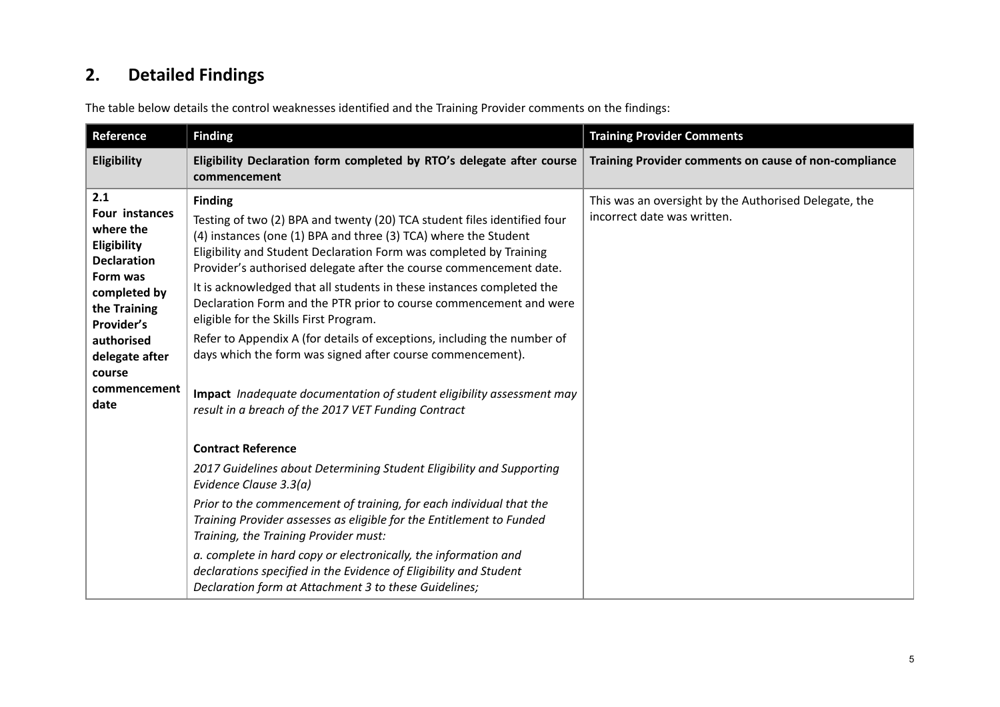#### **2.Detailed Findings**

The table below details the control weaknesses identified and the Training Provider comments on the findings:

| Reference                                                                                                                                                                                           | <b>Finding</b>                                                                                                                                                                                                                                                                                                                                                                                                                                                                                                                                                                                                                                                                                                                                                              | <b>Training Provider Comments</b>                                                    |
|-----------------------------------------------------------------------------------------------------------------------------------------------------------------------------------------------------|-----------------------------------------------------------------------------------------------------------------------------------------------------------------------------------------------------------------------------------------------------------------------------------------------------------------------------------------------------------------------------------------------------------------------------------------------------------------------------------------------------------------------------------------------------------------------------------------------------------------------------------------------------------------------------------------------------------------------------------------------------------------------------|--------------------------------------------------------------------------------------|
| Eligibility                                                                                                                                                                                         | Eligibility Declaration form completed by RTO's delegate after course<br>commencement                                                                                                                                                                                                                                                                                                                                                                                                                                                                                                                                                                                                                                                                                       | Training Provider comments on cause of non-compliance                                |
| 2.1<br>Four instances<br>where the<br>Eligibility<br><b>Declaration</b><br>Form was<br>completed by<br>the Training<br>Provider's<br>authorised<br>delegate after<br>course<br>commencement<br>date | <b>Finding</b><br>Testing of two (2) BPA and twenty (20) TCA student files identified four<br>(4) instances (one (1) BPA and three (3) TCA) where the Student<br>Eligibility and Student Declaration Form was completed by Training<br>Provider's authorised delegate after the course commencement date.<br>It is acknowledged that all students in these instances completed the<br>Declaration Form and the PTR prior to course commencement and were<br>eligible for the Skills First Program.<br>Refer to Appendix A (for details of exceptions, including the number of<br>days which the form was signed after course commencement).<br>Impact Inadequate documentation of student eligibility assessment may<br>result in a breach of the 2017 VET Funding Contract | This was an oversight by the Authorised Delegate, the<br>incorrect date was written. |
|                                                                                                                                                                                                     | <b>Contract Reference</b><br>2017 Guidelines about Determining Student Eligibility and Supporting<br>Evidence Clause 3.3(a)<br>Prior to the commencement of training, for each individual that the<br>Training Provider assesses as eligible for the Entitlement to Funded<br>Training, the Training Provider must:<br>a. complete in hard copy or electronically, the information and<br>declarations specified in the Evidence of Eligibility and Student<br>Declaration form at Attachment 3 to these Guidelines;                                                                                                                                                                                                                                                        |                                                                                      |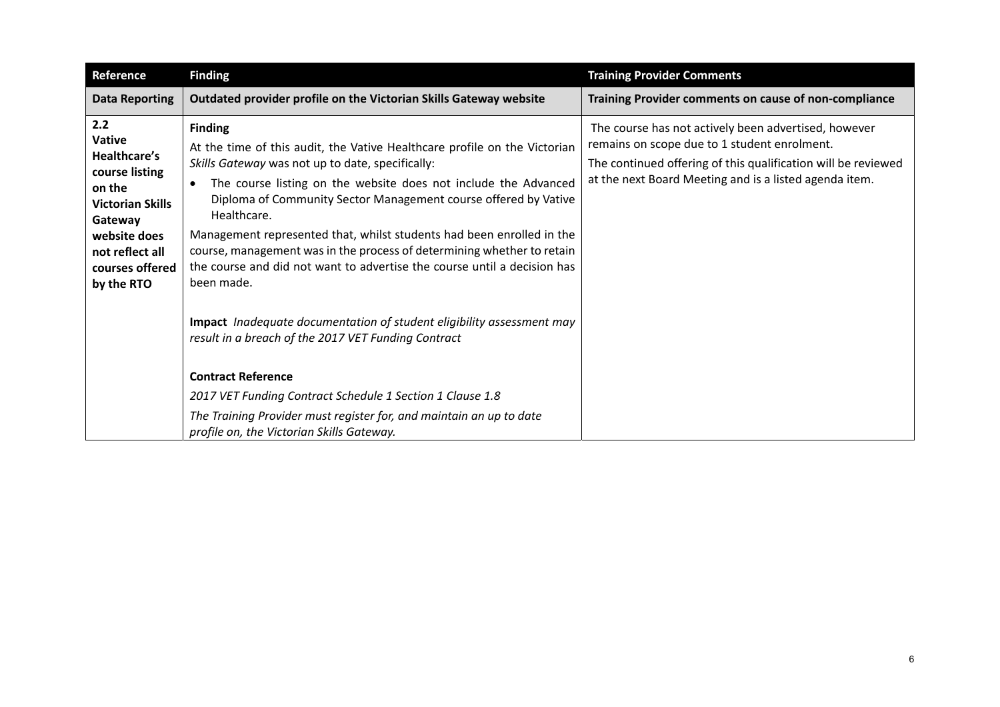| <b>Reference</b>                                                                                                                                                                  | <b>Finding</b>                                                                                                                                                                                                                                                                                                                                                                                                                                                                                                                                    | <b>Training Provider Comments</b>                                                                                                                                                                                               |
|-----------------------------------------------------------------------------------------------------------------------------------------------------------------------------------|---------------------------------------------------------------------------------------------------------------------------------------------------------------------------------------------------------------------------------------------------------------------------------------------------------------------------------------------------------------------------------------------------------------------------------------------------------------------------------------------------------------------------------------------------|---------------------------------------------------------------------------------------------------------------------------------------------------------------------------------------------------------------------------------|
| <b>Data Reporting</b>                                                                                                                                                             | Outdated provider profile on the Victorian Skills Gateway website                                                                                                                                                                                                                                                                                                                                                                                                                                                                                 | Training Provider comments on cause of non-compliance                                                                                                                                                                           |
| 2.2<br><b>Vative</b><br><b>Healthcare's</b><br>course listing<br>on the<br><b>Victorian Skills</b><br>Gateway<br>website does<br>not reflect all<br>courses offered<br>by the RTO | <b>Finding</b><br>At the time of this audit, the Vative Healthcare profile on the Victorian<br>Skills Gateway was not up to date, specifically:<br>The course listing on the website does not include the Advanced<br>Diploma of Community Sector Management course offered by Vative<br>Healthcare.<br>Management represented that, whilst students had been enrolled in the<br>course, management was in the process of determining whether to retain<br>the course and did not want to advertise the course until a decision has<br>been made. | The course has not actively been advertised, however<br>remains on scope due to 1 student enrolment.<br>The continued offering of this qualification will be reviewed<br>at the next Board Meeting and is a listed agenda item. |
|                                                                                                                                                                                   | Impact Inadequate documentation of student eligibility assessment may<br>result in a breach of the 2017 VET Funding Contract                                                                                                                                                                                                                                                                                                                                                                                                                      |                                                                                                                                                                                                                                 |
|                                                                                                                                                                                   | <b>Contract Reference</b>                                                                                                                                                                                                                                                                                                                                                                                                                                                                                                                         |                                                                                                                                                                                                                                 |
|                                                                                                                                                                                   | 2017 VET Funding Contract Schedule 1 Section 1 Clause 1.8                                                                                                                                                                                                                                                                                                                                                                                                                                                                                         |                                                                                                                                                                                                                                 |
|                                                                                                                                                                                   | The Training Provider must register for, and maintain an up to date<br>profile on, the Victorian Skills Gateway.                                                                                                                                                                                                                                                                                                                                                                                                                                  |                                                                                                                                                                                                                                 |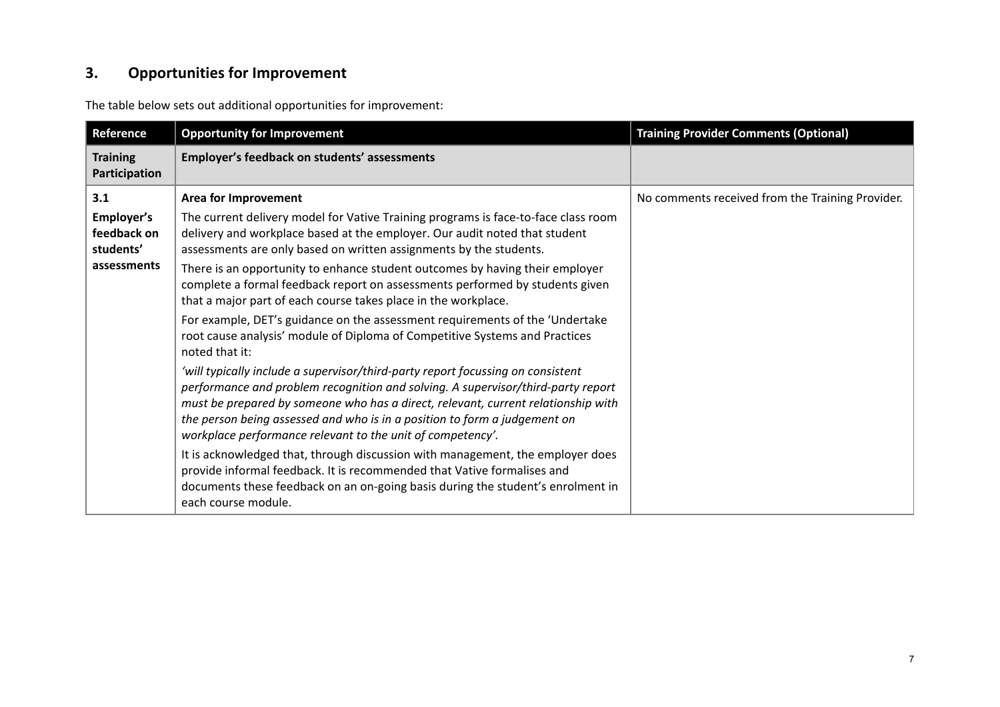#### **3.Opportunities for Improvement**

The table below sets out additional opportunities for improvement:

| Reference                              | <b>Opportunity for Improvement</b>                                                                                                                                                                                                                                                                                                                                                                  | <b>Training Provider Comments (Optional)</b>     |
|----------------------------------------|-----------------------------------------------------------------------------------------------------------------------------------------------------------------------------------------------------------------------------------------------------------------------------------------------------------------------------------------------------------------------------------------------------|--------------------------------------------------|
| <b>Training</b><br>Participation       | Employer's feedback on students' assessments                                                                                                                                                                                                                                                                                                                                                        |                                                  |
| 3.1                                    | <b>Area for Improvement</b>                                                                                                                                                                                                                                                                                                                                                                         | No comments received from the Training Provider. |
| Employer's<br>feedback on<br>students' | The current delivery model for Vative Training programs is face-to-face class room<br>delivery and workplace based at the employer. Our audit noted that student<br>assessments are only based on written assignments by the students.                                                                                                                                                              |                                                  |
| assessments                            | There is an opportunity to enhance student outcomes by having their employer<br>complete a formal feedback report on assessments performed by students given<br>that a major part of each course takes place in the workplace.                                                                                                                                                                      |                                                  |
|                                        | For example, DET's guidance on the assessment requirements of the 'Undertake<br>root cause analysis' module of Diploma of Competitive Systems and Practices<br>noted that it:                                                                                                                                                                                                                       |                                                  |
|                                        | 'will typically include a supervisor/third-party report focussing on consistent<br>performance and problem recognition and solving. A supervisor/third-party report<br>must be prepared by someone who has a direct, relevant, current relationship with<br>the person being assessed and who is in a position to form a judgement on<br>workplace performance relevant to the unit of competency'. |                                                  |
|                                        | It is acknowledged that, through discussion with management, the employer does<br>provide informal feedback. It is recommended that Vative formalises and<br>documents these feedback on an on-going basis during the student's enrolment in<br>each course module.                                                                                                                                 |                                                  |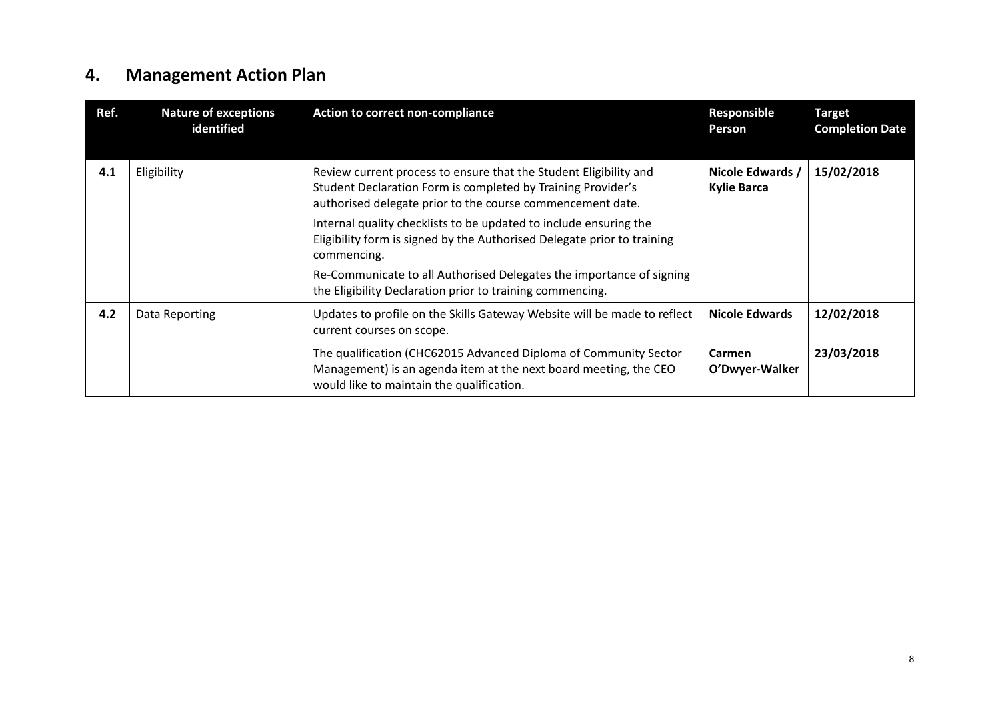#### **4.Management Action Plan**

| Ref. | <b>Nature of exceptions</b><br>identified | <b>Action to correct non-compliance</b>                                                                                                                                                         | <b>Responsible</b><br><b>Person</b>    | <b>Target</b><br><b>Completion Date</b> |
|------|-------------------------------------------|-------------------------------------------------------------------------------------------------------------------------------------------------------------------------------------------------|----------------------------------------|-----------------------------------------|
| 4.1  | Eligibility                               | Review current process to ensure that the Student Eligibility and<br>Student Declaration Form is completed by Training Provider's<br>authorised delegate prior to the course commencement date. | Nicole Edwards /<br><b>Kylie Barca</b> | 15/02/2018                              |
|      |                                           | Internal quality checklists to be updated to include ensuring the<br>Eligibility form is signed by the Authorised Delegate prior to training<br>commencing.                                     |                                        |                                         |
|      |                                           | Re-Communicate to all Authorised Delegates the importance of signing<br>the Eligibility Declaration prior to training commencing.                                                               |                                        |                                         |
| 4.2  | Data Reporting                            | Updates to profile on the Skills Gateway Website will be made to reflect<br>current courses on scope.                                                                                           | <b>Nicole Edwards</b>                  | 12/02/2018                              |
|      |                                           | The qualification (CHC62015 Advanced Diploma of Community Sector<br>Management) is an agenda item at the next board meeting, the CEO<br>would like to maintain the qualification.               | Carmen<br>O'Dwyer-Walker               | 23/03/2018                              |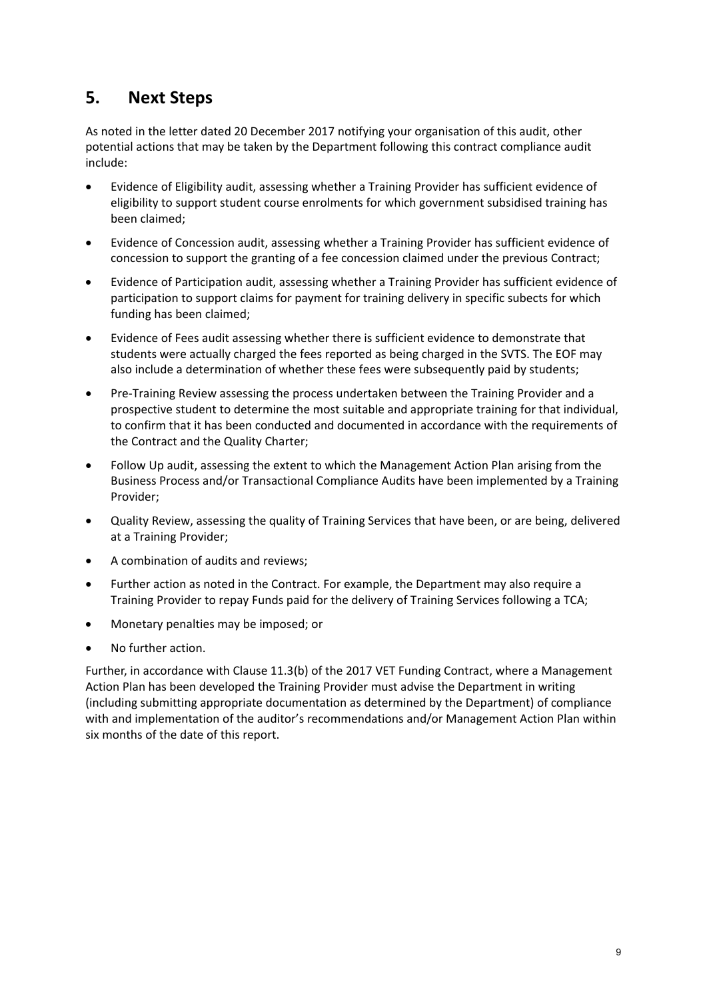## **5. Next Steps**

As noted in the letter dated 20 December 2017 notifying your organisation of this audit, other potential actions that may be taken by the Department following this contract compliance audit include:

- Evidence of Eligibility audit, assessing whether a Training Provider has sufficient evidence of eligibility to support student course enrolments for which government subsidised training has been claimed;
- Evidence of Concession audit, assessing whether a Training Provider has sufficient evidence of concession to support the granting of a fee concession claimed under the previous Contract;
- Evidence of Participation audit, assessing whether a Training Provider has sufficient evidence of participation to support claims for payment for training delivery in specific subects for which funding has been claimed;
- Evidence of Fees audit assessing whether there is sufficient evidence to demonstrate that students were actually charged the fees reported as being charged in the SVTS. The EOF may also include a determination of whether these fees were subsequently paid by students;
- Pre-Training Review assessing the process undertaken between the Training Provider and a prospective student to determine the most suitable and appropriate training for that individual, to confirm that it has been conducted and documented in accordance with the requirements of the Contract and the Quality Charter;
- Follow Up audit, assessing the extent to which the Management Action Plan arising from the Business Process and/or Transactional Compliance Audits have been implemented by a Training Provider;
- Quality Review, assessing the quality of Training Services that have been, or are being, delivered at a Training Provider;
- A combination of audits and reviews;
- Further action as noted in the Contract. For example, the Department may also require a Training Provider to repay Funds paid for the delivery of Training Services following a TCA;
- Monetary penalties may be imposed; or
- No further action.

Further, in accordance with Clause 11.3(b) of the 2017 VET Funding Contract, where a Management Action Plan has been developed the Training Provider must advise the Department in writing (including submitting appropriate documentation as determined by the Department) of compliance with and implementation of the auditor's recommendations and/or Management Action Plan within six months of the date of this report.